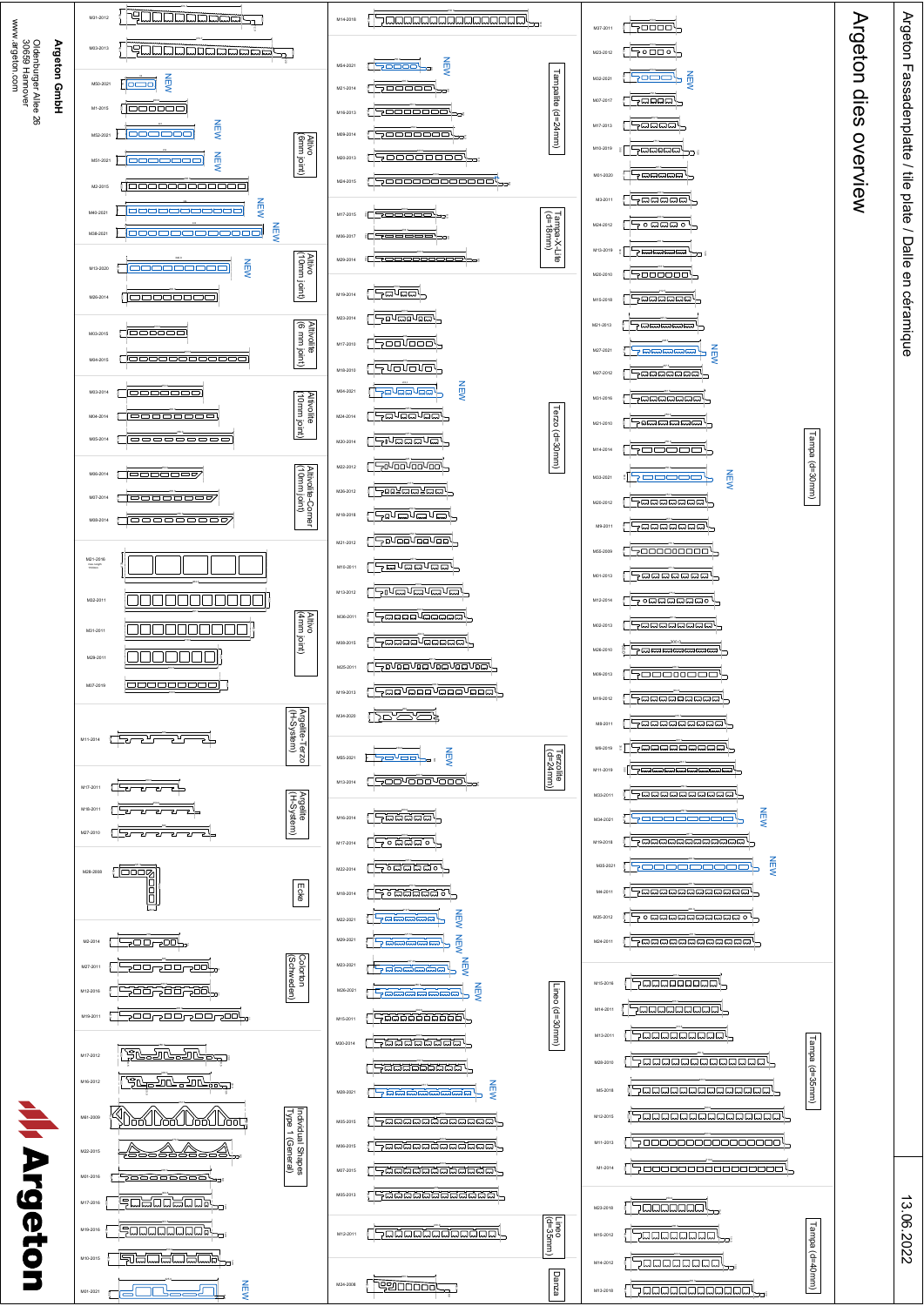



13.06.2022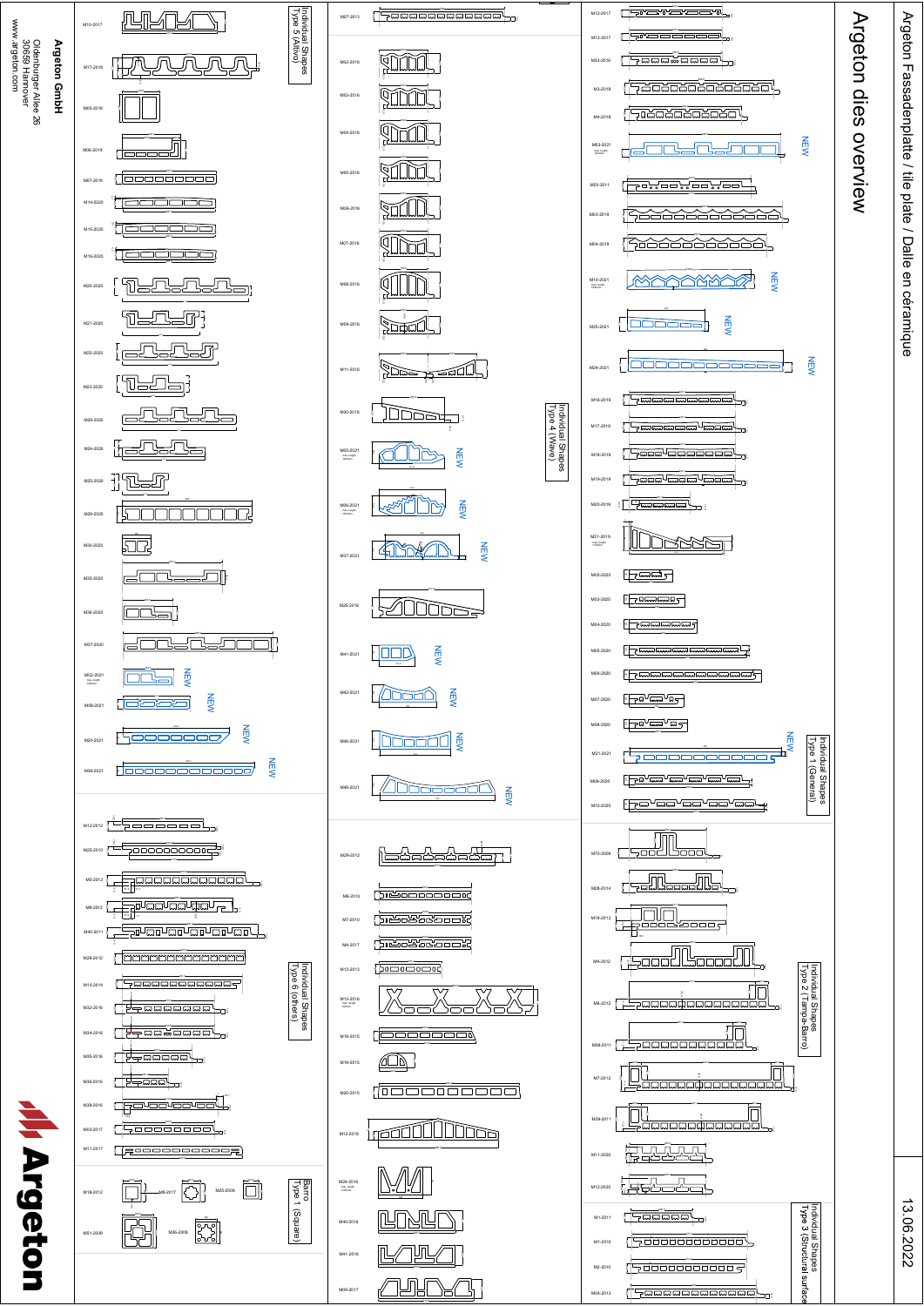